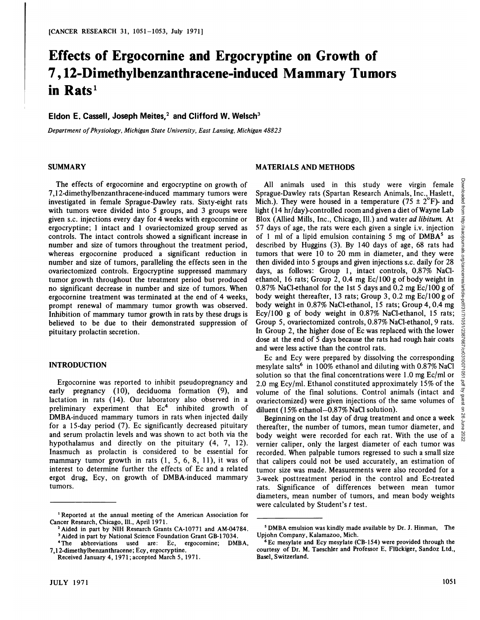# **Effects of Ergocornine and Ergocryptine on Growth of 7 , 12-Dimethylbenzanthracene-induced Mammary Tumors in Rats'**

## Eldon E. Cassell, Joseph Meites,<sup>2</sup> and Clifford W. Welsch<sup>3</sup>

*Department ofPhysiology, Michigan State University, East Lansing, Michigan 48823*

#### **SUMMARY**

The effects of ergocornine and ergocryptine on growth of 7,12-dimethylbenzanthracene-induced mammary tumors were investigated in female Sprague-Dawley rats. Sixty-eight rats with tumors were divided into 5 groups, and 3 groups were given s.c.injections every day for 4 weeks with ergocornine or ergocryptine; 1 intact and 1 ovariectomized group served as controls. The intact controls showed a significant increase in number and size of tumors throughout the treatment period, whereas ergocornine produced a significant reduction in number and size of tumors, paralleling the effects seen in the ovariectomized controls. Ergocryptine suppressed mammary tumor growth throughout the treatment period but produced no significant decrease in number and size of tumors. When ergocornine treatment was terminated at the end of 4 weeks, prompt renewal of mammary tumor growth was observed. Inhibition of mammary tumor growth in rats by these drugs is believed to be due to their demonstrated suppression of pituitary prolactin secretion.

#### **INTRODUCTION**

Ergocornine was reported to inhibit pseudopregnancy and early pregnancy  $(10)$ , deciduoma formation  $(9)$ , and lactation in rats (14). Our laboratory also observed in a preliminary experiment that  $Ec<sup>4</sup>$  inhibited growth of DMBA-induced mammary tumors in rats when injected daily for a 15-day period (7). Ec significantly decreased pituitary and serum prolactin levels and was shown to act both via the hypothalamus and directly on the pituitary (4, 7, 12). Inasmuch as prolactin is considered to be essential for mammary tumor growth in rats  $(1, 5, 6, 8, 11)$ , it was of interest to determine further the effects of Ec and a related ergot drug, Ecy, on growth of DMBA-induced mammary tumors.

#### **MATERIALS AND METHODS**

All animals used in this study were virgin female Sprague-Dawley rats (Spartan Research Animals, Inc., Haslett, Mich.). They were housed in a temperature (75  $\pm$  2°F)- and light (14 hr/day)-controlled room and given a diet of Wayne Lab Blox (Allied Mills, Inc., Chicago, Ill.) and water ad libitum. At 57 days of age, the rats were each given a single i.v. injection  $\frac{5}{8}$  of 1 ml of a lipid emulsion containing 5 mg of DMBA<sup>5</sup> as  $\frac{5}{9}$  described by Huggins (3). By 140 days of age, 68 rats had of 1 ml of a lipid emulsion containing 5 mg of DMBA<sup>5</sup> as described by Huggins (3). By 140 days of age, 68 rats had tumors that were 10 to 20 mm in diameter, and they were then divided into 5 groups and given injections s.c. daily for 28 days, as follows: Group 1, intact controls, 0.87% NaCl ethanol, 16 rats; Group 2, 0.4 mg  $Ec/100$  g of body weight in 0.87% NaCl-ethanol for the 1st 5 days and 0.2 mg Ec/l00 g of body weight thereafter, 13 rats; Group 3, 0.2 mg Ec/100 g of  $\frac{6}{9}$ <br>body weight in 0.87% NaCl-ethanol, 15 rats; Group 4, 0.4 mg<br>Ecy/100 g of body weight in 0.87% NaCl-ethanol, 15 rats; body weight in 0.87% NaCl-ethanol, 15 rats; Group 4, 0.4 mg Ecy/100 g of body weight in 0.87% NaC1-ethanol, 15 rats; In Group 2, the higher dose of Ec was replaced with the lower dose at the end of  $\overline{5}$  days because the rats had rough hair coats and were less active than the control rats.

Group 5, ovariectomized controls, 0.87% NaCl-ethanol, 9 rats. In Group 2, the higher dose of Ec was replaced with the lower dose at the end of 5 days because the rats had rough hair coats and were less active than the con Ec and Ecy were prepared by dissolving the corresponding mesylate salts<sup>6</sup> in 100% ethanol and diluting with 0.87% NaCl solution so that the final concentrations were 1.0 mg Ec/ml or 2.0 mg Ecy/ml. Ethanol constituted approximately 15% of the volume of the final solutions. Control animals (intact and ovariectomized) were given injections of the same volumes of diluent (15% ethanol-0.87% NaCl solution).

Beginning on the 1st day of drug treatment and once a week  $\frac{8}{5}$  ereafter, the number of tumors, mean tumor diameter, and  $\frac{5}{8}$ thereafter, the number of tumors, mean tumor diameter, and body weight were recorded for each rat. With the use of a  $\frac{8}{60}$ vernier caliper, only the largest diameter of each tumor was recorded. When palpable tumors regressed to such a small size that calipers could not be used accurately, an estimation of tumor size was made. Measurements were also recorded for a 3-week posttreatment period in the control and Ec-treated rats. Significance of differences between mean tumor diameters, mean number of tumors, and mean body weights were calculated by Student's t test.

**<sup>1</sup> Reported at the annual meeting of the American Association for** Cancer Research, Chicago, Ill., April 1971.

<sup>&</sup>lt;sup>2</sup> Aided in part by NIH Research Grants CA-10771 and AM-04784. **3 Aided in part by National Science Foundation Grant GB-i 7034.**

<sup>4</sup>The abbreviations used are: Ec, ergocornine; DMBA, 7,1 2-dimethylbenzanthracene; Ecy, ergocryptine.

Received January 4, 1971; accepted March 5, 1971.

<sup>&</sup>lt;sup>5</sup> DMBA emulsion was kindly made available by Dr. J. Hinman, The Upjohn Company, Kalamazoo, Mich.

**<sup>6</sup> Ec mesylate and Ecy mesylate (CB-154) were provided through the** courtesy of Dr. M. Taeschler and Professor E. Flückiger, Sandoz Ltd., Basel, Switzerland.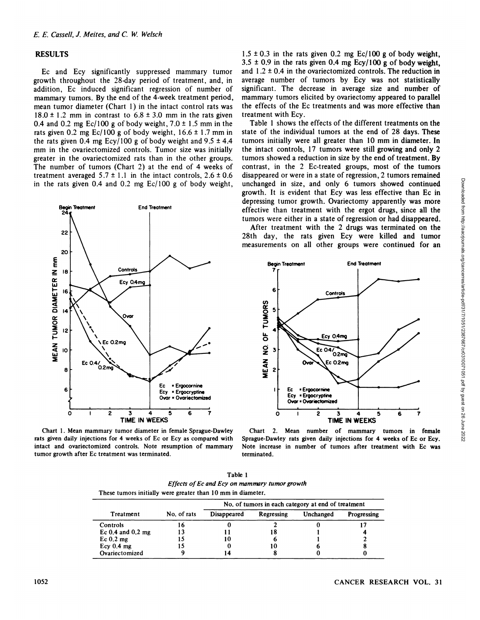#### **RESULTS**

Ec and Ecy significantly suppressed mammary tumor growth throughout the 28-day period of treatment, and, in addition, Ec induced significant regression of number of mammary tumors. By the end of the 4-week treatment period, mean tumor diameter (Chart 1) in the intact control rats was  $18.0 \pm 1.2$  mm in contrast to  $6.8 \pm 3.0$  mm in the rats given 0.4 and 0.2 mg  $Ec/100$  g of body weight,  $7.0 \pm 1.5$  mm in the rats given 0.2 mg  $Ec/100$  g of body weight,  $16.6 \pm 1.7$  mm in the rats given 0.4 mg  $Ecy/100$  g of body weight and 9.5  $\pm$  4.4 mm in the ovariectomized controls. Tumor size was initially greater in the ovariectomized rats than in the other groups. The number of tumors (Chart 2) at the end of 4 weeks of treatment averaged  $5.7 \pm 1.1$  in the intact controls,  $2.6 \pm 0.6$ in the rats given 0.4 and 0.2 mg  $Ec/100$  g of body weight,



Chart 1. Mean mammary tumor diameter in female Sprague-Dawley rats given daily injections for 4 weeks of Ec or Ecy as compared with intact and ovariectomized controls. Note resumption of mammary tumor growth after Ec treatment was terminated.

 $1.5 \pm 0.3$  in the rats given 0.2 mg Ec/100 g of body weight,  $3.5 \pm 0.9$  in the rats given 0.4 mg Ecy/100 g of body weight, and  $1.2 \pm 0.4$  in the ovariectomized controls. The reduction in average number of tumors by Ecy was not statistically significant. The decrease in average size and number of mammary tumors elicited by ovariectomy appeared to parallel the effects of the Ec treatments and was more effective than treatment with Ecy.

Table 1 shows the effects of the different treatments on the state of the individual tumors at the end of 28 days. These tumors initially were all greater than 10 mm in diameter. In the intact controls, 17 tumors were still growing and only 2 tumors showed a reduction in size by the end of treatment. By contrast, in the 2 Ec-treated groups, most of the tumors unchanged in size, and only 6 tumors showed continued growth. It is evident that Ecy was less effective than Ec in depressing tumor growth. Ovariectomy apparently was more effective than treatment with the ergot drugs, since all the tumors were either in a state of regression or had disappeared.

After treatment with the 2 drugs was terminated on the 28th day, the rats given Ecy were killed and tumor measurements on all other groups were continued for an



Chart 2. Mean number of mammary tumors in female Sprague-Dawley rats given daily injections for 4 weeks of Ec or Ecy. Note increase in number of tumors after treatment with Ec was terminated.

| Table 1                                                     |  |  |  |  |
|-------------------------------------------------------------|--|--|--|--|
| Effects of Ec and Ecy on mammary tumor growth               |  |  |  |  |
| These tumors initially were greater than 10 mm in diameter. |  |  |  |  |

| Treatment             | No. of rats | No, of tumors in each category at end of treatment |            |           |             |
|-----------------------|-------------|----------------------------------------------------|------------|-----------|-------------|
|                       |             | Disappeared                                        | Regressing | Unchanged | Progressing |
| Controls              |             |                                                    |            |           |             |
| Ec $0.4$ and $0.2$ mg |             |                                                    | 18         |           |             |
| Ec 0.2 mg             |             | 10                                                 |            |           |             |
| Ecy $0.4$ mg          |             |                                                    | 10         |           |             |
| Ovariectomized        |             |                                                    |            |           |             |